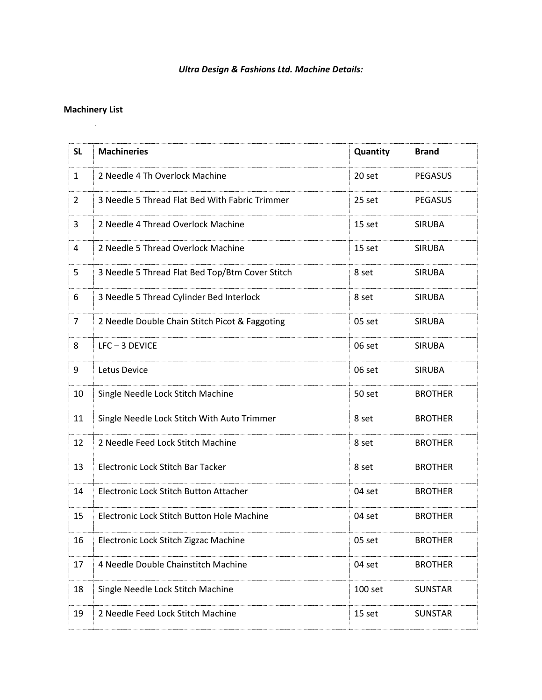## *Ultra Design & Fashions Ltd. Machine Details:*

## **Machinery List**

| <b>SL</b>      | <b>Machineries</b>                              | Quantity | <b>Brand</b>   |
|----------------|-------------------------------------------------|----------|----------------|
| $\mathbf{1}$   | 2 Needle 4 Th Overlock Machine                  | 20 set   | <b>PEGASUS</b> |
| $\overline{2}$ | 3 Needle 5 Thread Flat Bed With Fabric Trimmer  | 25 set   | <b>PEGASUS</b> |
| 3              | 2 Needle 4 Thread Overlock Machine              | 15 set   | <b>SIRUBA</b>  |
| 4              | 2 Needle 5 Thread Overlock Machine              | 15 set   | <b>SIRUBA</b>  |
| 5              | 3 Needle 5 Thread Flat Bed Top/Btm Cover Stitch | 8 set    | <b>SIRUBA</b>  |
| 6              | 3 Needle 5 Thread Cylinder Bed Interlock        | 8 set    | <b>SIRUBA</b>  |
| $\overline{7}$ | 2 Needle Double Chain Stitch Picot & Faggoting  | 05 set   | <b>SIRUBA</b>  |
| 8              | LFC-3 DEVICE                                    | 06 set   | <b>SIRUBA</b>  |
| 9              | Letus Device                                    | 06 set   | <b>SIRUBA</b>  |
| 10             | Single Needle Lock Stitch Machine               | 50 set   | <b>BROTHER</b> |
| 11             | Single Needle Lock Stitch With Auto Trimmer     | 8 set    | <b>BROTHER</b> |
| 12             | 2 Needle Feed Lock Stitch Machine               | 8 set    | <b>BROTHER</b> |
| 13             | Electronic Lock Stitch Bar Tacker               | 8 set    | <b>BROTHER</b> |
| 14             | Electronic Lock Stitch Button Attacher          | 04 set   | <b>BROTHER</b> |
| 15             | Electronic Lock Stitch Button Hole Machine      | 04 set   | <b>BROTHER</b> |
| 16             | Electronic Lock Stitch Zigzac Machine           | 05 set   | <b>BROTHER</b> |
| 17             | 4 Needle Double Chainstitch Machine             | 04 set   | <b>BROTHER</b> |
| 18             | Single Needle Lock Stitch Machine               | 100 set  | <b>SUNSTAR</b> |
| 19             | 2 Needle Feed Lock Stitch Machine               | 15 set   | <b>SUNSTAR</b> |